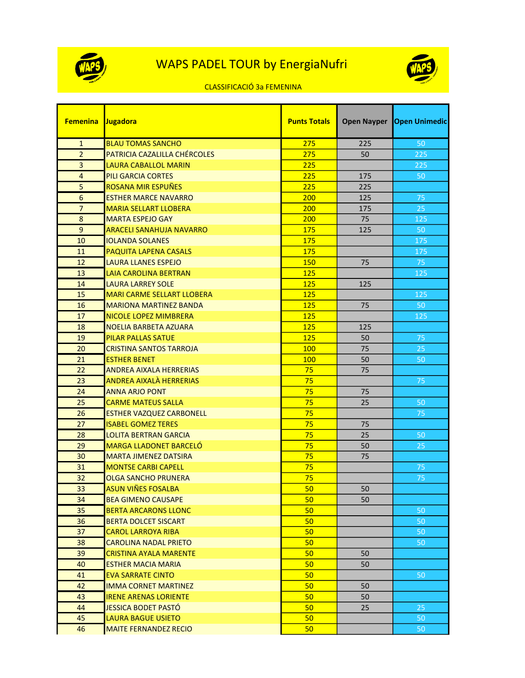



## CLASSIFICACIÓ 3a FEMENINA

| <b>Femenina</b> | Jugadora                          | <b>Punts Totals</b> | <b>Open Nayper</b> | <b>Open Unimedic</b> |
|-----------------|-----------------------------------|---------------------|--------------------|----------------------|
| $\mathbf{1}$    | <b>BLAU TOMAS SANCHO</b>          | 275                 | 225                | 50                   |
| $\overline{2}$  | PATRICIA CAZALILLA CHÉRCOLES      | 275                 | 50                 | 225                  |
| 3               | <b>LAURA CABALLOL MARIN</b>       | 225                 |                    | 225                  |
| $\overline{4}$  | PILI GARCIA CORTES                | 225                 | 175                | 50                   |
| 5               | ROSANA MIR ESPUÑES                | 225                 | 225                |                      |
| 6               | <b>ESTHER MARCE NAVARRO</b>       | 200                 | 125                | 75                   |
| $\overline{7}$  | <b>MARIA SELLART LLOBERA</b>      | 200                 | 175                | 25                   |
| 8               | <b>MARTA ESPEJO GAY</b>           | 200                 | 75                 | 125                  |
| 9               | <b>ARACELI SANAHUJA NAVARRO</b>   | 175                 | 125                | 50                   |
| 10              | <b>IOLANDA SOLANES</b>            | 175                 |                    | 175                  |
| 11              | <b>PAQUITA LAPENA CASALS</b>      | 175                 |                    | 175                  |
| 12              | <b>LAURA LLANES ESPEJO</b>        | 150                 | 75                 | 75                   |
| 13              | <b>LAIA CAROLINA BERTRAN</b>      | 125                 |                    | 125                  |
| 14              | <b>LAURA LARREY SOLE</b>          | 125                 | 125                |                      |
| 15              | <b>MARI CARME SELLART LLOBERA</b> | 125                 |                    | 125                  |
| 16              | <b>MARIONA MARTINEZ BANDA</b>     | 125                 | 75                 | 50                   |
| 17              | NICOLE LOPEZ MIMBRERA             | 125                 |                    | 125                  |
| 18              | <b>NOELIA BARBETA AZUARA</b>      | 125                 | 125                |                      |
| 19              | <b>PILAR PALLAS SATUE</b>         | 125                 | 50                 | 75                   |
| 20              | <b>CRISTINA SANTOS TARROJA</b>    | 100                 | 75                 | 25                   |
| 21              | <b>ESTHER BENET</b>               | 100                 | 50                 | 50                   |
| 22              | <b>ANDREA AIXALA HERRERIAS</b>    | 75                  | 75                 |                      |
| 23              | ANDREA AIXALA HERRERIAS           | 75                  |                    | 75                   |
| 24              | <b>ANNA ARJO PONT</b>             | 75                  | 75                 |                      |
| 25              | <b>CARME MATEUS SALLA</b>         | 75                  | 25                 | 50                   |
| 26              | ESTHER VAZQUEZ CARBONELL          | 75                  |                    | 75                   |
| 27              | <b>ISABEL GOMEZ TERES</b>         | 75                  | 75                 |                      |
| 28              | <b>LOLITA BERTRAN GARCIA</b>      | 75                  | 25                 | 50                   |
| 29              | <b>MARGA LLADONET BARCELÓ</b>     | 75                  | 50                 | 25                   |
| 30              | <b>MARTA JIMENEZ DATSIRA</b>      | 75                  | 75                 |                      |
| 31              | <b>MONTSE CARBI CAPELL</b>        | 75                  |                    | 75                   |
| 32              | <b>OLGA SANCHO PRUNERA</b>        | 75                  |                    | 75                   |
| 33              | ASUN VIÑES FOSALBA                | 50                  | 50                 |                      |
| 34              | <b>BEA GIMENO CAUSAPE</b>         | 50                  | 50                 |                      |
| 35              | <b>BERTA ARCARONS LLONC</b>       | 50                  |                    | 50                   |
| 36              | <b>BERTA DOLCET SISCART</b>       | 50                  |                    | 50                   |
| 37              | <b>CAROL LARROYA RIBA</b>         | 50                  |                    | 50                   |
| 38              | <b>CAROLINA NADAL PRIETO</b>      | 50                  |                    | 50                   |
| 39              | CRISTINA AYALA MARENTE            | 50                  | 50                 |                      |
| 40              | <b>ESTHER MACIA MARIA</b>         | 50                  | 50                 |                      |
| 41              | <b>EVA SARRATE CINTO</b>          | 50                  |                    | 50                   |
| 42              | <b>IMMA CORNET MARTINEZ</b>       | 50                  | 50                 |                      |
| 43              | <b>IRENE ARENAS LORIENTE</b>      | 50                  | 50                 |                      |
| 44              | JESSICA BODET PASTÓ               | 50                  | 25                 | 25                   |
| 45              | <b>LAURA BAGUE USIETO</b>         | 50                  |                    | 50                   |
| 46              | <b>MAITE FERNANDEZ RECIO</b>      | 50                  |                    | 50                   |